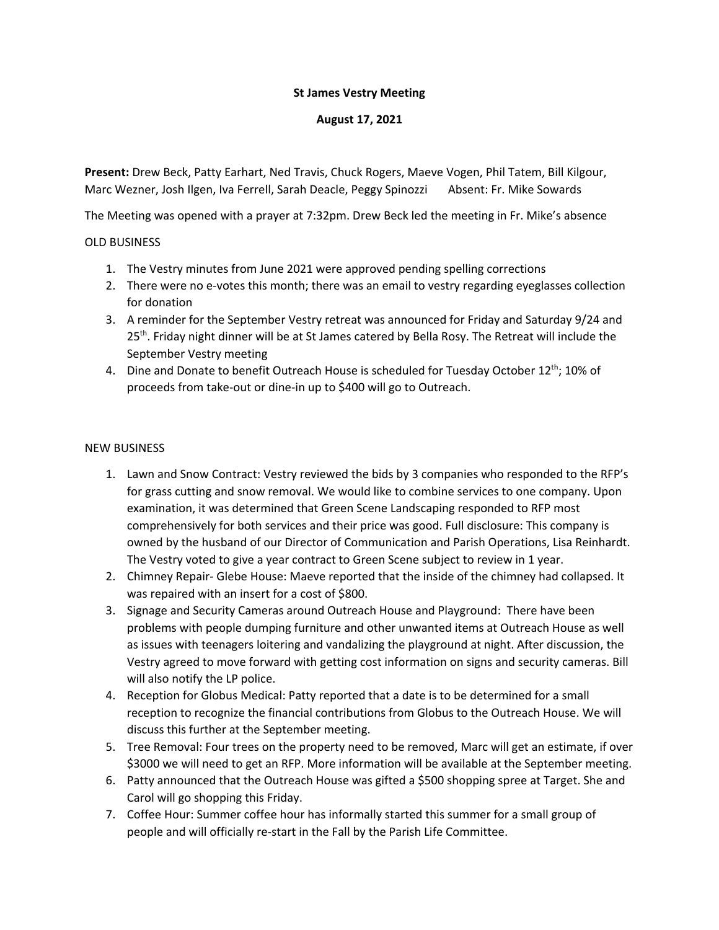## **St James Vestry Meeting**

## **August 17, 2021**

**Present:** Drew Beck, Patty Earhart, Ned Travis, Chuck Rogers, Maeve Vogen, Phil Tatem, Bill Kilgour, Marc Wezner, Josh Ilgen, Iva Ferrell, Sarah Deacle, Peggy Spinozzi Absent: Fr. Mike Sowards

The Meeting was opened with a prayer at 7:32pm. Drew Beck led the meeting in Fr. Mike's absence

## OLD BUSINESS

- 1. The Vestry minutes from June 2021 were approved pending spelling corrections
- 2. There were no e-votes this month; there was an email to vestry regarding eyeglasses collection for donation
- 3. A reminder for the September Vestry retreat was announced for Friday and Saturday 9/24 and 25<sup>th</sup>. Friday night dinner will be at St James catered by Bella Rosy. The Retreat will include the September Vestry meeting
- 4. Dine and Donate to benefit Outreach House is scheduled for Tuesday October  $12^{th}$ ; 10% of proceeds from take-out or dine-in up to \$400 will go to Outreach.

## NEW BUSINESS

- 1. Lawn and Snow Contract: Vestry reviewed the bids by 3 companies who responded to the RFP's for grass cutting and snow removal. We would like to combine services to one company. Upon examination, it was determined that Green Scene Landscaping responded to RFP most comprehensively for both services and their price was good. Full disclosure: This company is owned by the husband of our Director of Communication and Parish Operations, Lisa Reinhardt. The Vestry voted to give a year contract to Green Scene subject to review in 1 year.
- 2. Chimney Repair- Glebe House: Maeve reported that the inside of the chimney had collapsed. It was repaired with an insert for a cost of \$800.
- 3. Signage and Security Cameras around Outreach House and Playground: There have been problems with people dumping furniture and other unwanted items at Outreach House as well as issues with teenagers loitering and vandalizing the playground at night. After discussion, the Vestry agreed to move forward with getting cost information on signs and security cameras. Bill will also notify the LP police.
- 4. Reception for Globus Medical: Patty reported that a date is to be determined for a small reception to recognize the financial contributions from Globus to the Outreach House. We will discuss this further at the September meeting.
- 5. Tree Removal: Four trees on the property need to be removed, Marc will get an estimate, if over \$3000 we will need to get an RFP. More information will be available at the September meeting.
- 6. Patty announced that the Outreach House was gifted a \$500 shopping spree at Target. She and Carol will go shopping this Friday.
- 7. Coffee Hour: Summer coffee hour has informally started this summer for a small group of people and will officially re-start in the Fall by the Parish Life Committee.